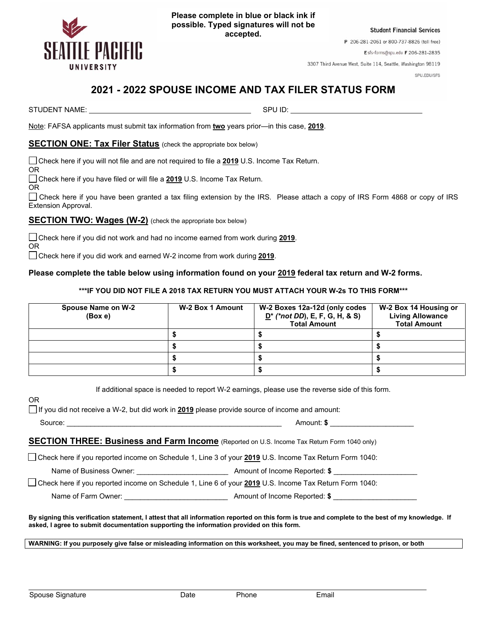

**Please complete in blue or black ink if possible. Typed signatures will not be accepted.**

**Student Financial Services** 

P 206-281-2061 or 800-737-8826 (toll free)

Esfs-forms@spu.edu F 206-281-2835

3307 Third Avenue West, Suite 114, Seattle, Washington 98119

SPU.EDU/SFS

## **2021 - 2022 SPOUSE INCOME AND TAX FILER STATUS FORM**

STUDENT NAME: SPU ID: SPU ID: SPU ID: SPU ID: SPU ID: SPU ID: SPU ID: SPU ID: SPU ID: SPU ID: SPU ID: SPU ID: SPU ID: SPU ID: SPU ID: SPU ID: SPU ID: SPU ID: SPU ID: SPU ID: SPU ID: SPU ID: SPU ID: SPU ID: SPU ID: SPU ID:

Note: FAFSA applicants must submit tax information from **two** years prior—in this case, **2019**.

## **SECTION ONE: Tax Filer Status** (check the appropriate box below)

Check here if you will not file and are not required to file a **2019** U.S. Income Tax Return.

Check here if you have filed or will file a **2019** U.S. Income Tax Return.

OR

OR

OR

 Check here if you have been granted a tax filing extension by the IRS. Please attach a copy of IRS Form 4868 or copy of IRS Extension Approval.

**SECTION TWO: Wages (W-2)** (check the appropriate box below)

 Check here if you did not work and had no income earned from work during **2019**. OR

Check here if you did work and earned W-2 income from work during **2019**.

## **Please complete the table below using information found on your 2019 federal tax return and W-2 forms.**

## **\*\*\*IF YOU DID NOT FILE A 2018 TAX RETURN YOU MUST ATTACH YOUR W-2s TO THIS FORM\*\*\***

| Spouse Name on W-2<br>(Box e) | W-2 Box 1 Amount | W-2 Boxes 12a-12d (only codes<br>$D^*$ (*not DD), E, F, G, H, & S)<br><b>Total Amount</b> | W-2 Box 14 Housing or<br><b>Living Allowance</b><br><b>Total Amount</b> |
|-------------------------------|------------------|-------------------------------------------------------------------------------------------|-------------------------------------------------------------------------|
|                               |                  |                                                                                           |                                                                         |
|                               |                  |                                                                                           |                                                                         |
|                               |                  |                                                                                           |                                                                         |
|                               |                  |                                                                                           |                                                                         |

If additional space is needed to report W-2 earnings, please use the reverse side of this form.

If you did not receive a W-2, but did work in **2019** please provide source of income and amount:

**SECTION THREE: Business and Farm Income** (Reported on U.S. Income Tax Return Form 1040 only)

Check here if you reported income on Schedule 1, Line 3 of your **2019** U.S. Income Tax Return Form 1040:

Name of Business Owner:  $\blacksquare$  **Amount of Income Reported: \$** 

Check here if you reported income on Schedule 1, Line 6 of your **2019** U.S. Income Tax Return Form 1040:

Name of Farm Owner:  $\blacksquare$  **Amount of Income Reported: \$** 

**By signing this verification statement, I attest that all information reported on this form is true and complete to the best of my knowledge. If asked, I agree to submit documentation supporting the information provided on this form.**

**WARNING: If you purposely give false or misleading information on this worksheet, you may be fined, sentenced to prison, or both**